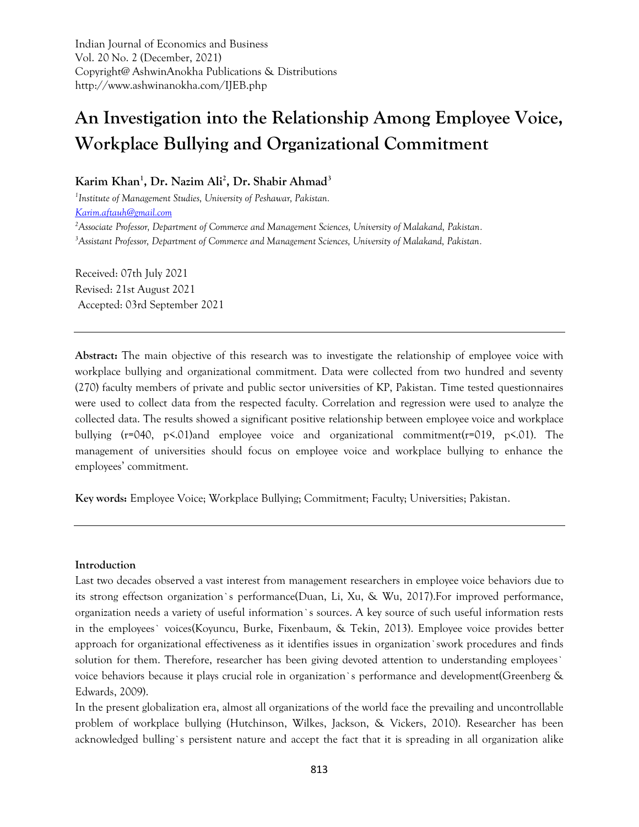Indian Journal of Economics and Business Vol. 20 No. 2 (December, 2021) Copyright@ AshwinAnokha Publications & Distributions http://www.ashwinanokha.com/IJEB.php

# **An Investigation into the Relationship Among Employee Voice, Workplace Bullying and Organizational Commitment**

# **Karim Khan<sup>1</sup> , Dr. Nazim Ali<sup>2</sup> , Dr. Shabir Ahmad<sup>3</sup>**

*1 Institute of Management Studies, University of Peshawar, Pakistan. [Karim.aftauh@gmail.com](mailto:Karim.aftauh@gmail.com) <sup>2</sup>Associate Professor, Department of Commerce and Management Sciences, University of Malakand, Pakistan.*

*<sup>3</sup>Assistant Professor, Department of Commerce and Management Sciences, University of Malakand, Pakistan.*

Received: 07th July 2021 Revised: 21st August 2021 Accepted: 03rd September 2021

**Abstract:** The main objective of this research was to investigate the relationship of employee voice with workplace bullying and organizational commitment. Data were collected from two hundred and seventy (270) faculty members of private and public sector universities of KP, Pakistan. Time tested questionnaires were used to collect data from the respected faculty. Correlation and regression were used to analyze the collected data. The results showed a significant positive relationship between employee voice and workplace bullying (r=040, p<.01)and employee voice and organizational commitment(r=019, p<.01). The management of universities should focus on employee voice and workplace bullying to enhance the employees' commitment.

**Key words:** Employee Voice; Workplace Bullying; Commitment; Faculty; Universities; Pakistan.

#### **Introduction**

Last two decades observed a vast interest from management researchers in employee voice behaviors due to its strong effectson organization`s performance(Duan, Li, Xu, & Wu, 2017).For improved performance, organization needs a variety of useful information`s sources. A key source of such useful information rests in the employees` voices(Koyuncu, Burke, Fixenbaum, & Tekin, 2013). Employee voice provides better approach for organizational effectiveness as it identifies issues in organization`swork procedures and finds solution for them. Therefore, researcher has been giving devoted attention to understanding employees` voice behaviors because it plays crucial role in organization`s performance and development(Greenberg & Edwards, 2009).

In the present globalization era, almost all organizations of the world face the prevailing and uncontrollable problem of workplace bullying (Hutchinson, Wilkes, Jackson, & Vickers, 2010). Researcher has been acknowledged bulling`s persistent nature and accept the fact that it is spreading in all organization alike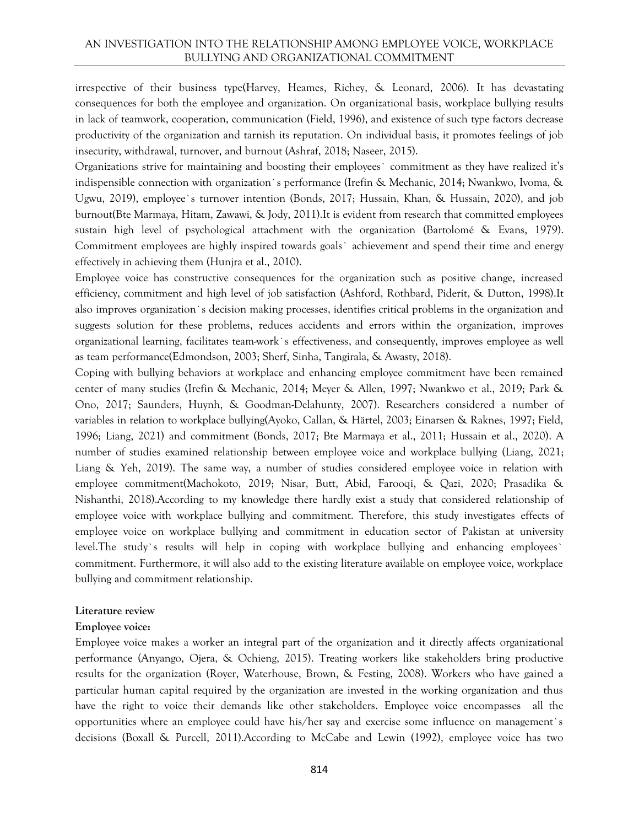## AN INVESTIGATION INTO THE RELATIONSHIP AMONG EMPLOYEE VOICE, WORKPLACE BULLYING AND ORGANIZATIONAL COMMITMENT

irrespective of their business type(Harvey, Heames, Richey, & Leonard, 2006). It has devastating consequences for both the employee and organization. On organizational basis, workplace bullying results in lack of teamwork, cooperation, communication (Field, 1996), and existence of such type factors decrease productivity of the organization and tarnish its reputation. On individual basis, it promotes feelings of job insecurity, withdrawal, turnover, and burnout (Ashraf, 2018; Naseer, 2015).

Organizations strive for maintaining and boosting their employees` commitment as they have realized it's indispensible connection with organization`s performance (Irefin & Mechanic, 2014; Nwankwo, Ivoma, & Ugwu, 2019), employee`s turnover intention (Bonds, 2017; Hussain, Khan, & Hussain, 2020), and job burnout(Bte Marmaya, Hitam, Zawawi, & Jody, 2011).It is evident from research that committed employees sustain high level of psychological attachment with the organization (Bartolomé & Evans, 1979). Commitment employees are highly inspired towards goals` achievement and spend their time and energy effectively in achieving them (Hunjra et al., 2010).

Employee voice has constructive consequences for the organization such as positive change, increased efficiency, commitment and high level of job satisfaction (Ashford, Rothbard, Piderit, & Dutton, 1998).It also improves organization`s decision making processes, identifies critical problems in the organization and suggests solution for these problems, reduces accidents and errors within the organization, improves organizational learning, facilitates team-work`s effectiveness, and consequently, improves employee as well as team performance(Edmondson, 2003; Sherf, Sinha, Tangirala, & Awasty, 2018).

Coping with bullying behaviors at workplace and enhancing employee commitment have been remained center of many studies (Irefin & Mechanic, 2014; Meyer & Allen, 1997; Nwankwo et al., 2019; Park & Ono, 2017; Saunders, Huynh, & Goodman-Delahunty, 2007). Researchers considered a number of variables in relation to workplace bullying(Ayoko, Callan, & Härtel, 2003; Einarsen & Raknes, 1997; Field, 1996; Liang, 2021) and commitment (Bonds, 2017; Bte Marmaya et al., 2011; Hussain et al., 2020). A number of studies examined relationship between employee voice and workplace bullying (Liang, 2021; Liang & Yeh, 2019). The same way, a number of studies considered employee voice in relation with employee commitment(Machokoto, 2019; Nisar, Butt, Abid, Farooqi, & Qazi, 2020; Prasadika & Nishanthi, 2018).According to my knowledge there hardly exist a study that considered relationship of employee voice with workplace bullying and commitment. Therefore, this study investigates effects of employee voice on workplace bullying and commitment in education sector of Pakistan at university level.The study`s results will help in coping with workplace bullying and enhancing employees` commitment. Furthermore, it will also add to the existing literature available on employee voice, workplace bullying and commitment relationship.

#### **Literature review**

#### **Employee voice:**

Employee voice makes a worker an integral part of the organization and it directly affects organizational performance (Anyango, Ojera, & Ochieng, 2015). Treating workers like stakeholders bring productive results for the organization (Royer, Waterhouse, Brown, & Festing, 2008). Workers who have gained a particular human capital required by the organization are invested in the working organization and thus have the right to voice their demands like other stakeholders. Employee voice encompasses all the opportunities where an employee could have his/her say and exercise some influence on management`s decisions (Boxall & Purcell, 2011).According to McCabe and Lewin (1992), employee voice has two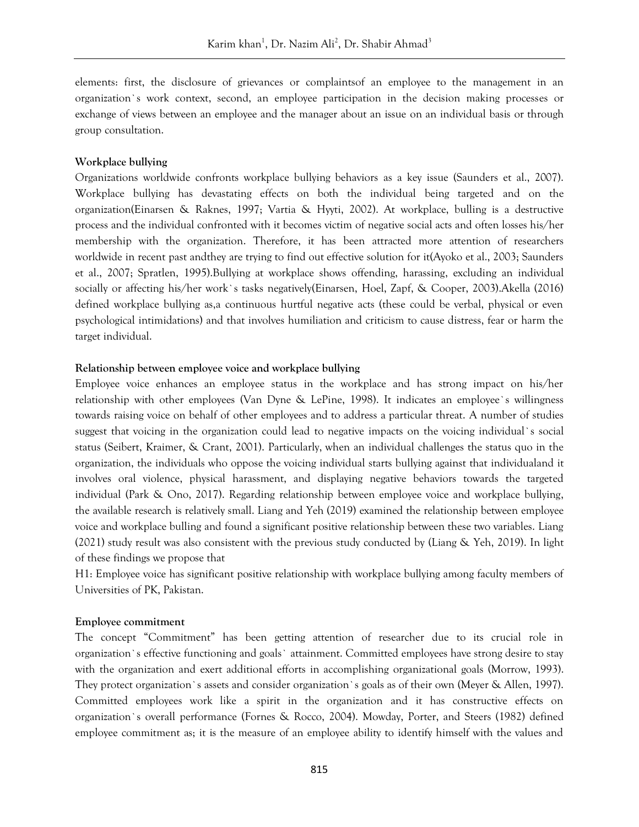elements: first, the disclosure of grievances or complaintsof an employee to the management in an organization`s work context, second, an employee participation in the decision making processes or exchange of views between an employee and the manager about an issue on an individual basis or through group consultation.

#### **Workplace bullying**

Organizations worldwide confronts workplace bullying behaviors as a key issue (Saunders et al., 2007). Workplace bullying has devastating effects on both the individual being targeted and on the organization(Einarsen & Raknes, 1997; Vartia & Hyyti, 2002). At workplace, bulling is a destructive process and the individual confronted with it becomes victim of negative social acts and often losses his/her membership with the organization. Therefore, it has been attracted more attention of researchers worldwide in recent past andthey are trying to find out effective solution for it(Ayoko et al., 2003; Saunders et al., 2007; Spratlen, 1995).Bullying at workplace shows offending, harassing, excluding an individual socially or affecting his/her work`s tasks negatively(Einarsen, Hoel, Zapf, & Cooper, 2003).Akella (2016) defined workplace bullying as,a continuous hurtful negative acts (these could be verbal, physical or even psychological intimidations) and that involves humiliation and criticism to cause distress, fear or harm the target individual.

#### **Relationship between employee voice and workplace bullying**

Employee voice enhances an employee status in the workplace and has strong impact on his/her relationship with other employees (Van Dyne & LePine, 1998). It indicates an employee`s willingness towards raising voice on behalf of other employees and to address a particular threat. A number of studies suggest that voicing in the organization could lead to negative impacts on the voicing individual`s social status (Seibert, Kraimer, & Crant, 2001). Particularly, when an individual challenges the status quo in the organization, the individuals who oppose the voicing individual starts bullying against that individualand it involves oral violence, physical harassment, and displaying negative behaviors towards the targeted individual (Park & Ono, 2017). Regarding relationship between employee voice and workplace bullying, the available research is relatively small. Liang and Yeh (2019) examined the relationship between employee voice and workplace bulling and found a significant positive relationship between these two variables. Liang (2021) study result was also consistent with the previous study conducted by (Liang & Yeh, 2019). In light of these findings we propose that

H1: Employee voice has significant positive relationship with workplace bullying among faculty members of Universities of PK, Pakistan.

#### **Employee commitment**

The concept "Commitment" has been getting attention of researcher due to its crucial role in organization`s effective functioning and goals` attainment. Committed employees have strong desire to stay with the organization and exert additional efforts in accomplishing organizational goals (Morrow, 1993). They protect organization`s assets and consider organization`s goals as of their own (Meyer & Allen, 1997). Committed employees work like a spirit in the organization and it has constructive effects on organization`s overall performance (Fornes & Rocco, 2004). Mowday, Porter, and Steers (1982) defined employee commitment as; it is the measure of an employee ability to identify himself with the values and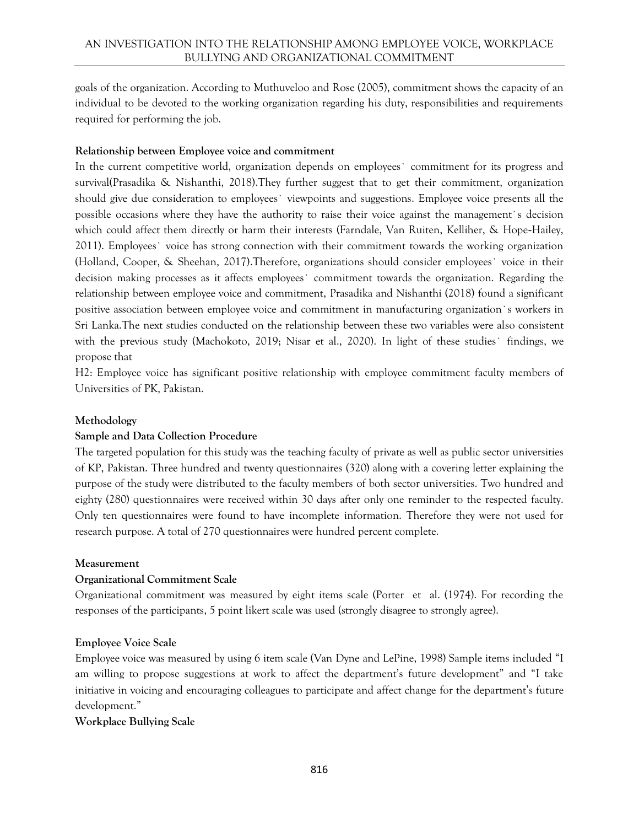goals of the organization. According to Muthuveloo and Rose (2005), commitment shows the capacity of an individual to be devoted to the working organization regarding his duty, responsibilities and requirements required for performing the job.

# **Relationship between Employee voice and commitment**

In the current competitive world, organization depends on employees` commitment for its progress and survival(Prasadika & Nishanthi, 2018).They further suggest that to get their commitment, organization should give due consideration to employees` viewpoints and suggestions. Employee voice presents all the possible occasions where they have the authority to raise their voice against the management`s decision which could affect them directly or harm their interests (Farndale, Van Ruiten, Kelliher, & Hope-Hailey, 2011). Employees` voice has strong connection with their commitment towards the working organization (Holland, Cooper, & Sheehan, 2017).Therefore, organizations should consider employees` voice in their decision making processes as it affects employees` commitment towards the organization. Regarding the relationship between employee voice and commitment, Prasadika and Nishanthi (2018) found a significant positive association between employee voice and commitment in manufacturing organization`s workers in Sri Lanka.The next studies conducted on the relationship between these two variables were also consistent with the previous study (Machokoto, 2019; Nisar et al., 2020). In light of these studies` findings, we propose that

H2: Employee voice has significant positive relationship with employee commitment faculty members of Universities of PK, Pakistan.

# **Methodology**

# **Sample and Data Collection Procedure**

The targeted population for this study was the teaching faculty of private as well as public sector universities of KP, Pakistan. Three hundred and twenty questionnaires (320) along with a covering letter explaining the purpose of the study were distributed to the faculty members of both sector universities. Two hundred and eighty (280) questionnaires were received within 30 days after only one reminder to the respected faculty. Only ten questionnaires were found to have incomplete information. Therefore they were not used for research purpose. A total of 270 questionnaires were hundred percent complete.

## **Measurement**

## **Organizational Commitment Scale**

Organizational commitment was measured by eight items scale (Porter et al. (1974). For recording the responses of the participants, 5 point likert scale was used (strongly disagree to strongly agree).

## **Employee Voice Scale**

Employee voice was measured by using 6 item scale (Van Dyne and LePine, 1998) Sample items included "I am willing to propose suggestions at work to affect the department's future development" and "I take initiative in voicing and encouraging colleagues to participate and affect change for the department's future development."

## **Workplace Bullying Scale**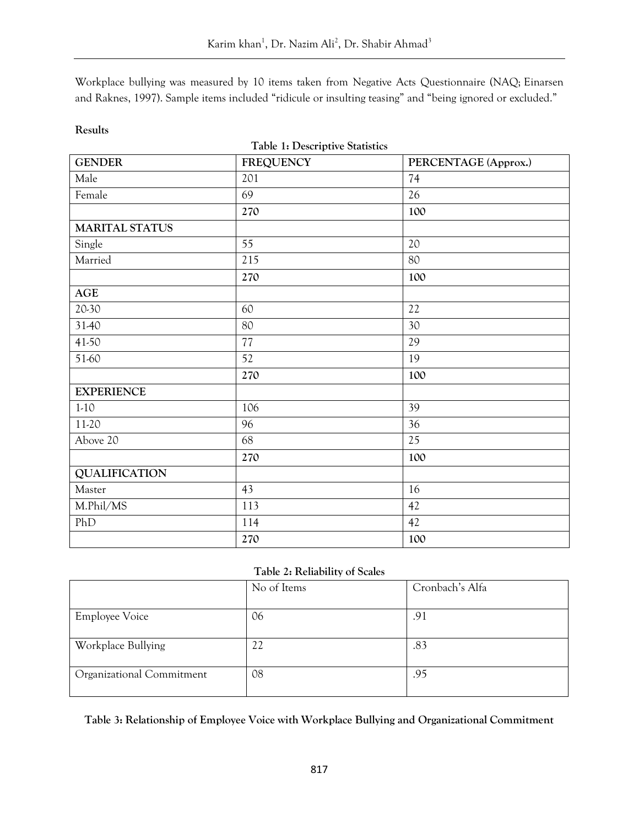Workplace bullying was measured by 10 items taken from Negative Acts Questionnaire (NAQ; [Einarsen](https://www.frontiersin.org/articles/10.3389/fpsyg.2021.610944/full#B10)  [and Raknes, 1997](https://www.frontiersin.org/articles/10.3389/fpsyg.2021.610944/full#B10)). Sample items included "ridicule or insulting teasing" and "being ignored or excluded."

# **Results**

**Table 1: Descriptive Statistics**

| <b>GENDER</b>         | FREQUENCY | PERCENTAGE (Approx.) |
|-----------------------|-----------|----------------------|
| Male                  | 201       | 74                   |
| Female                | 69        | 26                   |
|                       | 270       | 100                  |
| <b>MARITAL STATUS</b> |           |                      |
| Single                | 55        | 20                   |
| Married               | 215       | 80                   |
|                       | 270       | 100                  |
| $\mathbf{AGE}$        |           |                      |
| 20-30                 | 60        | 22                   |
| 31-40                 | $80\,$    | 30                   |
| 41-50                 | 77        | 29                   |
| 51-60                 | 52        | 19                   |
|                       | 270       | 100                  |
| <b>EXPERIENCE</b>     |           |                      |
| $1-10$                | 106       | 39                   |
| 11-20                 | 96        | 36                   |
| Above 20              | 68        | 25                   |
|                       | 270       | 100                  |
| <b>QUALIFICATION</b>  |           |                      |
| Master                | 43        | 16                   |
| M.Phil/MS             | 113       | 42                   |
| PhD                   | 114       | 42                   |
|                       | 270       | 100                  |

# **Table 2: Reliability of Scales**

|                           | No of Items | Cronbach's Alfa |
|---------------------------|-------------|-----------------|
| <b>Employee Voice</b>     | 06          | .91             |
| Workplace Bullying        | 22          | .83             |
| Organizational Commitment | 08          | .95             |

**Table 3: Relationship of Employee Voice with Workplace Bullying and Organizational Commitment**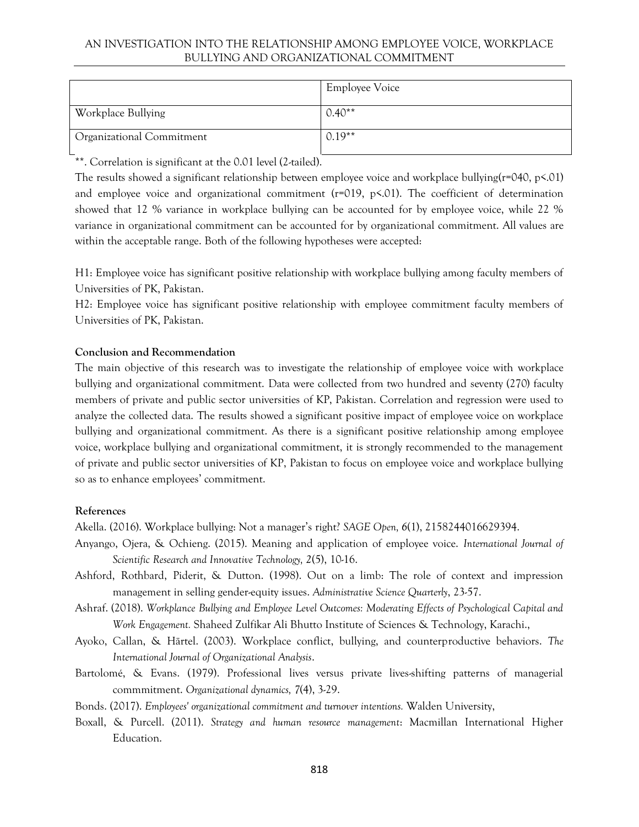## AN INVESTIGATION INTO THE RELATIONSHIP AMONG EMPLOYEE VOICE, WORKPLACE BULLYING AND ORGANIZATIONAL COMMITMENT

|                           | <b>Employee Voice</b> |
|---------------------------|-----------------------|
| Workplace Bullying        | $0.40**$              |
| Organizational Commitment | $0.19**$              |

\*\*. Correlation is significant at the 0.01 level (2-tailed).

The results showed a significant relationship between employee voice and workplace bullying( $r=040$ ,  $p\leq 01$ ) and employee voice and organizational commitment ( $r=019$ ,  $p\leq 01$ ). The coefficient of determination showed that 12 % variance in workplace bullying can be accounted for by employee voice, while 22 % variance in organizational commitment can be accounted for by organizational commitment. All values are within the acceptable range. Both of the following hypotheses were accepted:

H1: Employee voice has significant positive relationship with workplace bullying among faculty members of Universities of PK, Pakistan.

H2: Employee voice has significant positive relationship with employee commitment faculty members of Universities of PK, Pakistan.

# **Conclusion and Recommendation**

The main objective of this research was to investigate the relationship of employee voice with workplace bullying and organizational commitment. Data were collected from two hundred and seventy (270) faculty members of private and public sector universities of KP, Pakistan. Correlation and regression were used to analyze the collected data. The results showed a significant positive impact of employee voice on workplace bullying and organizational commitment. As there is a significant positive relationship among employee voice, workplace bullying and organizational commitment, it is strongly recommended to the management of private and public sector universities of KP, Pakistan to focus on employee voice and workplace bullying so as to enhance employees' commitment.

## **References**

Akella. (2016). Workplace bullying: Not a manager's right? *SAGE Open, 6*(1), 2158244016629394.

- Anyango, Ojera, & Ochieng. (2015). Meaning and application of employee voice. *International Journal of Scientific Research and Innovative Technology, 2*(5), 10-16.
- Ashford, Rothbard, Piderit, & Dutton. (1998). Out on a limb: The role of context and impression management in selling gender-equity issues. *Administrative Science Quarterly*, 23-57.
- Ashraf. (2018). *Workplance Bullying and Employee Level Outcomes: Moderating Effects of Psychological Capital and Work Engagement.* Shaheed Zulfikar Ali Bhutto Institute of Sciences & Technology, Karachi.,
- Ayoko, Callan, & Härtel. (2003). Workplace conflict, bullying, and counterproductive behaviors. *The International Journal of Organizational Analysis*.
- Bartolomé, & Evans. (1979). Professional lives versus private lives-shifting patterns of managerial commmitment. *Organizational dynamics, 7*(4), 3-29.
- Bonds. (2017). *Employees' organizational commitment and turnover intentions.* Walden University,
- Boxall, & Purcell. (2011). *Strategy and human resource management*: Macmillan International Higher Education.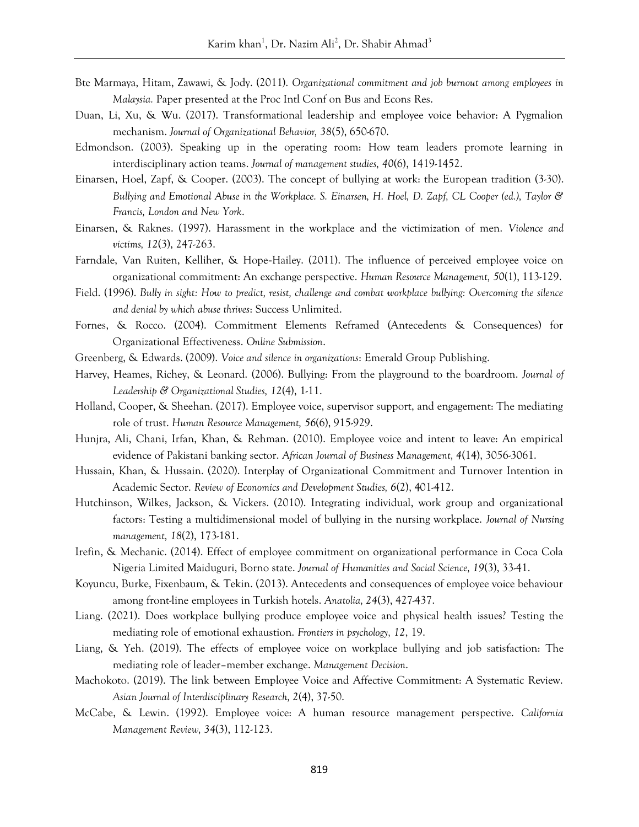- Bte Marmaya, Hitam, Zawawi, & Jody. (2011). *Organizational commitment and job burnout among employees in Malaysia.* Paper presented at the Proc Intl Conf on Bus and Econs Res.
- Duan, Li, Xu, & Wu. (2017). Transformational leadership and employee voice behavior: A Pygmalion mechanism. *Journal of Organizational Behavior, 38*(5), 650-670.
- Edmondson. (2003). Speaking up in the operating room: How team leaders promote learning in interdisciplinary action teams. *Journal of management studies, 40*(6), 1419-1452.
- Einarsen, Hoel, Zapf, & Cooper. (2003). The concept of bullying at work: the European tradition (3-30). *Bullying and Emotional Abuse in the Workplace. S. Einarsen, H. Hoel, D. Zapf, CL Cooper (ed.), Taylor & Francis, London and New York*.
- Einarsen, & Raknes. (1997). Harassment in the workplace and the victimization of men. *Violence and victims, 12*(3), 247-263.
- Farndale, Van Ruiten, Kelliher, & Hope-Hailey. (2011). The influence of perceived employee voice on organizational commitment: An exchange perspective. *Human Resource Management, 50*(1), 113-129.
- Field. (1996). *Bully in sight: How to predict, resist, challenge and combat workplace bullying: Overcoming the silence and denial by which abuse thrives*: Success Unlimited.
- Fornes, & Rocco. (2004). Commitment Elements Reframed (Antecedents & Consequences) for Organizational Effectiveness. *Online Submission*.
- Greenberg, & Edwards. (2009). *Voice and silence in organizations*: Emerald Group Publishing.
- Harvey, Heames, Richey, & Leonard. (2006). Bullying: From the playground to the boardroom. *Journal of Leadership & Organizational Studies, 12*(4), 1-11.
- Holland, Cooper, & Sheehan. (2017). Employee voice, supervisor support, and engagement: The mediating role of trust. *Human Resource Management, 56*(6), 915-929.
- Hunjra, Ali, Chani, Irfan, Khan, & Rehman. (2010). Employee voice and intent to leave: An empirical evidence of Pakistani banking sector. *African Journal of Business Management, 4*(14), 3056-3061.
- Hussain, Khan, & Hussain. (2020). Interplay of Organizational Commitment and Turnover Intention in Academic Sector. *Review of Economics and Development Studies, 6*(2), 401-412.
- Hutchinson, Wilkes, Jackson, & Vickers. (2010). Integrating individual, work group and organizational factors: Testing a multidimensional model of bullying in the nursing workplace. *Journal of Nursing management, 18*(2), 173-181.
- Irefin, & Mechanic. (2014). Effect of employee commitment on organizational performance in Coca Cola Nigeria Limited Maiduguri, Borno state. *Journal of Humanities and Social Science, 19*(3), 33-41.
- Koyuncu, Burke, Fixenbaum, & Tekin. (2013). Antecedents and consequences of employee voice behaviour among front-line employees in Turkish hotels. *Anatolia, 24*(3), 427-437.
- Liang. (2021). Does workplace bullying produce employee voice and physical health issues? Testing the mediating role of emotional exhaustion. *Frontiers in psychology, 12*, 19.
- Liang, & Yeh. (2019). The effects of employee voice on workplace bullying and job satisfaction: The mediating role of leader–member exchange. *Management Decision*.
- Machokoto. (2019). The link between Employee Voice and Affective Commitment: A Systematic Review. *Asian Journal of Interdisciplinary Research, 2*(4), 37-50.
- McCabe, & Lewin. (1992). Employee voice: A human resource management perspective. *California Management Review, 34*(3), 112-123.